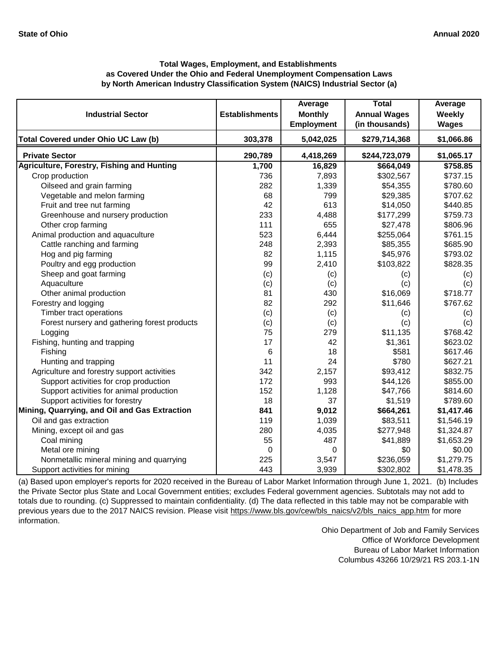|                                                   |                       | Average           | <b>Total</b>        | Average      |
|---------------------------------------------------|-----------------------|-------------------|---------------------|--------------|
| <b>Industrial Sector</b>                          | <b>Establishments</b> | <b>Monthly</b>    | <b>Annual Wages</b> | Weekly       |
|                                                   |                       | <b>Employment</b> | (in thousands)      | <b>Wages</b> |
| Total Covered under Ohio UC Law (b)               | 303,378               | 5,042,025         | \$279,714,368       | \$1,066.86   |
| <b>Private Sector</b>                             | 290,789               | 4,418,269         | \$244,723,079       | \$1,065.17   |
| <b>Agriculture, Forestry, Fishing and Hunting</b> | 1,700                 | 16,829            | \$664,049           | \$758.85     |
| Crop production                                   | 736                   | 7,893             | \$302,567           | \$737.15     |
| Oilseed and grain farming                         | 282                   | 1,339             | \$54,355            | \$780.60     |
| Vegetable and melon farming                       | 68                    | 799               | \$29,385            | \$707.62     |
| Fruit and tree nut farming                        | 42                    | 613               | \$14,050            | \$440.85     |
| Greenhouse and nursery production                 | 233                   | 4,488             | \$177,299           | \$759.73     |
| Other crop farming                                | 111                   | 655               | \$27,478            | \$806.96     |
| Animal production and aquaculture                 | 523                   | 6,444             | \$255,064           | \$761.15     |
| Cattle ranching and farming                       | 248                   | 2,393             | \$85,355            | \$685.90     |
| Hog and pig farming                               | 82                    | 1,115             | \$45,976            | \$793.02     |
| Poultry and egg production                        | 99                    | 2,410             | \$103,822           | \$828.35     |
| Sheep and goat farming                            | (c)                   | (c)               | (c)                 | (c)          |
| Aquaculture                                       | (c)                   | (c)               | (c)                 | (c)          |
| Other animal production                           | 81                    | 430               | \$16,069            | \$718.77     |
| Forestry and logging                              | 82                    | 292               | \$11,646            | \$767.62     |
| Timber tract operations                           | (c)                   | (c)               | (c)                 | (c)          |
| Forest nursery and gathering forest products      | (c)                   | (c)               | (c)                 | (c)          |
| Logging                                           | 75                    | 279               | \$11,135            | \$768.42     |
| Fishing, hunting and trapping                     | 17                    | 42                | \$1,361             | \$623.02     |
| Fishing                                           | 6                     | 18                | \$581               | \$617.46     |
| Hunting and trapping                              | 11                    | 24                | \$780               | \$627.21     |
| Agriculture and forestry support activities       | 342                   | 2,157             | \$93,412            | \$832.75     |
| Support activities for crop production            | 172                   | 993               | \$44,126            | \$855.00     |
| Support activities for animal production          | 152                   | 1,128             | \$47,766            | \$814.60     |
| Support activities for forestry                   | 18                    | 37                | \$1,519             | \$789.60     |
| Mining, Quarrying, and Oil and Gas Extraction     | 841                   | 9,012             | \$664,261           | \$1,417.46   |
| Oil and gas extraction                            | 119                   | 1,039             | \$83,511            | \$1,546.19   |
| Mining, except oil and gas                        | 280                   | 4,035             | \$277,948           | \$1,324.87   |
| Coal mining                                       | 55                    | 487               | \$41,889            | \$1,653.29   |
| Metal ore mining                                  | $\mathbf 0$           | 0                 | \$0                 | \$0.00       |
| Nonmetallic mineral mining and quarrying          | 225                   | 3,547             | \$236,059           | \$1,279.75   |
| Support activities for mining                     | 443                   | 3,939             | \$302,802           | \$1,478.35   |

[\(a\) Based upon employer's reports for 2020 received in t](https://www.bls.gov/cew/bls_naics/v2/bls_naics_app.htm)he Bureau of Labor Market Information through June 1, 2021. (b) Includes [the Private Sector plus State and Local Government enti](https://www.bls.gov/cew/bls_naics/v2/bls_naics_app.htm)ties; excludes Federal government agencies. Subtotals may not add to [totals due to rounding. \(c\) Suppressed to maintain confid](https://www.bls.gov/cew/bls_naics/v2/bls_naics_app.htm)entiality. (d) The data reflected in this table may not be comparable with [previous years due to the 2017 NAICS revision. Please visit https://www.bls.gov/cew/bls\\_naics/v2/bls\\_naics\\_app.htm](https://www.bls.gov/cew/bls_naics/v2/bls_naics_app.htm) for more [information.](https://www.bls.gov/cew/bls_naics/v2/bls_naics_app.htm)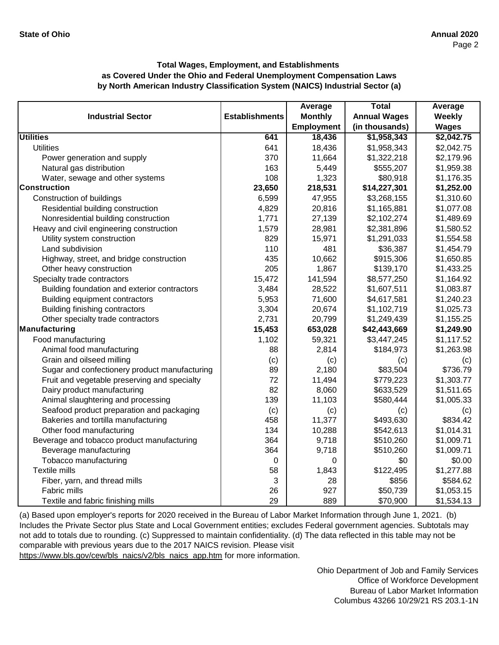|                                               |                       | Average           | <b>Total</b>        | Average       |
|-----------------------------------------------|-----------------------|-------------------|---------------------|---------------|
| <b>Industrial Sector</b>                      | <b>Establishments</b> | <b>Monthly</b>    | <b>Annual Wages</b> | <b>Weekly</b> |
|                                               |                       | <b>Employment</b> | (in thousands)      | <b>Wages</b>  |
| <b>Utilities</b>                              | 641                   | 18,436            | \$1,958,343         | \$2,042.75    |
| <b>Utilities</b>                              | 641                   | 18,436            | \$1,958,343         | \$2,042.75    |
| Power generation and supply                   | 370                   | 11,664            | \$1,322,218         | \$2,179.96    |
| Natural gas distribution                      | 163                   | 5,449             | \$555,207           | \$1,959.38    |
| Water, sewage and other systems               | 108                   | 1,323             | \$80,918            | \$1,176.35    |
| <b>Construction</b>                           | 23,650                | 218,531           | \$14,227,301        | \$1,252.00    |
| Construction of buildings                     | 6,599                 | 47,955            | \$3,268,155         | \$1,310.60    |
| Residential building construction             | 4,829                 | 20,816            | \$1,165,881         | \$1,077.08    |
| Nonresidential building construction          | 1,771                 | 27,139            | \$2,102,274         | \$1,489.69    |
| Heavy and civil engineering construction      | 1,579                 | 28,981            | \$2,381,896         | \$1,580.52    |
| Utility system construction                   | 829                   | 15,971            | \$1,291,033         | \$1,554.58    |
| Land subdivision                              | 110                   | 481               | \$36,387            | \$1,454.79    |
| Highway, street, and bridge construction      | 435                   | 10,662            | \$915,306           | \$1,650.85    |
| Other heavy construction                      | 205                   | 1,867             | \$139,170           | \$1,433.25    |
| Specialty trade contractors                   | 15,472                | 141,594           | \$8,577,250         | \$1,164.92    |
| Building foundation and exterior contractors  | 3,484                 | 28,522            | \$1,607,511         | \$1,083.87    |
| Building equipment contractors                | 5,953                 | 71,600            | \$4,617,581         | \$1,240.23    |
| <b>Building finishing contractors</b>         | 3,304                 | 20,674            | \$1,102,719         | \$1,025.73    |
| Other specialty trade contractors             | 2,731                 | 20,799            | \$1,249,439         | \$1,155.25    |
| Manufacturing                                 | 15,453                | 653,028           | \$42,443,669        | \$1,249.90    |
| Food manufacturing                            | 1,102                 | 59,321            | \$3,447,245         | \$1,117.52    |
| Animal food manufacturing                     | 88                    | 2,814             | \$184,973           | \$1,263.98    |
| Grain and oilseed milling                     | (c)                   | (c)               | (c)                 | (c)           |
| Sugar and confectionery product manufacturing | 89                    | 2,180             | \$83,504            | \$736.79      |
| Fruit and vegetable preserving and specialty  | 72                    | 11,494            | \$779,223           | \$1,303.77    |
| Dairy product manufacturing                   | 82                    | 8,060             | \$633,529           | \$1,511.65    |
| Animal slaughtering and processing            | 139                   | 11,103            | \$580,444           | \$1,005.33    |
| Seafood product preparation and packaging     | (c)                   | (c)               | (c)                 | (c)           |
| Bakeries and tortilla manufacturing           | 458                   | 11,377            | \$493,630           | \$834.42      |
| Other food manufacturing                      | 134                   | 10,288            | \$542,613           | \$1,014.31    |
| Beverage and tobacco product manufacturing    | 364                   | 9,718             | \$510,260           | \$1,009.71    |
| Beverage manufacturing                        | 364                   | 9,718             | \$510,260           | \$1,009.71    |
| Tobacco manufacturing                         | 0                     | 0                 | \$0                 | \$0.00        |
| Textile mills                                 | 58                    | 1,843             | \$122,495           | \$1,277.88    |
| Fiber, yarn, and thread mills                 | 3                     | 28                | \$856               | \$584.62      |
| Fabric mills                                  | 26                    | 927               | \$50,739            | \$1,053.15    |
| Textile and fabric finishing mills            | 29                    | 889               | \$70,900            | \$1,534.13    |

[\(a\) Based upon employer's reports for 2020 received in t](https://www.bls.gov/cew/bls_naics/v2/bls_naics_app.htm)he Bureau of Labor Market Information through June 1, 2021. (b) [Includes the Private Sector plus State and Local Governm](https://www.bls.gov/cew/bls_naics/v2/bls_naics_app.htm)ent entities; excludes Federal government agencies. Subtotals may [not add to totals due to rounding. \(c\) Suppressed to main](https://www.bls.gov/cew/bls_naics/v2/bls_naics_app.htm)tain confidentiality. (d) The data reflected in this table may not be [comparable with previous years due to the 2017 NAICS](https://www.bls.gov/cew/bls_naics/v2/bls_naics_app.htm) revision. Please visit

[https://www.bls.gov/cew/bls\\_naics/v2/bls\\_naics\\_app.htm](https://www.bls.gov/cew/bls_naics/v2/bls_naics_app.htm) for more information.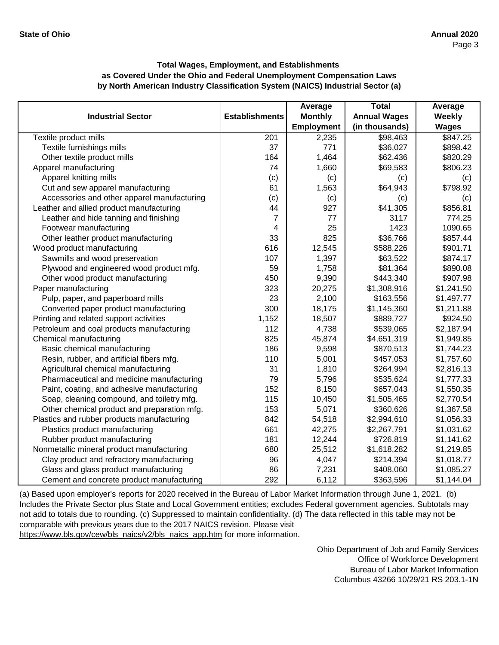|                                             |                       | Average           | <b>Total</b>        | Average      |
|---------------------------------------------|-----------------------|-------------------|---------------------|--------------|
| <b>Industrial Sector</b>                    | <b>Establishments</b> | <b>Monthly</b>    | <b>Annual Wages</b> | Weekly       |
|                                             |                       | <b>Employment</b> | (in thousands)      | <b>Wages</b> |
| Textile product mills                       | 201                   | 2,235             | \$98,463            | \$847.25     |
| Textile furnishings mills                   | 37                    | 771               | \$36,027            | \$898.42     |
| Other textile product mills                 | 164                   | 1,464             | \$62,436            | \$820.29     |
| Apparel manufacturing                       | 74                    | 1,660             | \$69,583            | \$806.23     |
| Apparel knitting mills                      | (c)                   | (c)               | (c)                 | (c)          |
| Cut and sew apparel manufacturing           | 61                    | 1,563             | \$64,943            | \$798.92     |
| Accessories and other apparel manufacturing | (c)                   | (c)               | (c)                 | (c)          |
| Leather and allied product manufacturing    | 44                    | 927               | \$41,305            | \$856.81     |
| Leather and hide tanning and finishing      | $\overline{7}$        | 77                | 3117                | 774.25       |
| Footwear manufacturing                      | 4                     | 25                | 1423                | 1090.65      |
| Other leather product manufacturing         | 33                    | 825               | \$36,766            | \$857.44     |
| Wood product manufacturing                  | 616                   | 12,545            | \$588,226           | \$901.71     |
| Sawmills and wood preservation              | 107                   | 1,397             | \$63,522            | \$874.17     |
| Plywood and engineered wood product mfg.    | 59                    | 1,758             | \$81,364            | \$890.08     |
| Other wood product manufacturing            | 450                   | 9,390             | \$443,340           | \$907.98     |
| Paper manufacturing                         | 323                   | 20,275            | \$1,308,916         | \$1,241.50   |
| Pulp, paper, and paperboard mills           | 23                    | 2,100             | \$163,556           | \$1,497.77   |
| Converted paper product manufacturing       | 300                   | 18,175            | \$1,145,360         | \$1,211.88   |
| Printing and related support activities     | 1,152                 | 18,507            | \$889,727           | \$924.50     |
| Petroleum and coal products manufacturing   | 112                   | 4,738             | \$539,065           | \$2,187.94   |
| Chemical manufacturing                      | 825                   | 45,874            | \$4,651,319         | \$1,949.85   |
| Basic chemical manufacturing                | 186                   | 9,598             | \$870,513           | \$1,744.23   |
| Resin, rubber, and artificial fibers mfg.   | 110                   | 5,001             | \$457,053           | \$1,757.60   |
| Agricultural chemical manufacturing         | 31                    | 1,810             | \$264,994           | \$2,816.13   |
| Pharmaceutical and medicine manufacturing   | 79                    | 5,796             | \$535,624           | \$1,777.33   |
| Paint, coating, and adhesive manufacturing  | 152                   | 8,150             | \$657,043           | \$1,550.35   |
| Soap, cleaning compound, and toiletry mfg.  | 115                   | 10,450            | \$1,505,465         | \$2,770.54   |
| Other chemical product and preparation mfg. | 153                   | 5,071             | \$360,626           | \$1,367.58   |
| Plastics and rubber products manufacturing  | 842                   | 54,518            | \$2,994,610         | \$1,056.33   |
| Plastics product manufacturing              | 661                   | 42,275            | \$2,267,791         | \$1,031.62   |
| Rubber product manufacturing                | 181                   | 12,244            | \$726,819           | \$1,141.62   |
| Nonmetallic mineral product manufacturing   | 680                   | 25,512            | \$1,618,282         | \$1,219.85   |
| Clay product and refractory manufacturing   | 96                    | 4,047             | \$214,394           | \$1,018.77   |
| Glass and glass product manufacturing       | 86                    | 7,231             | \$408,060           | \$1,085.27   |
| Cement and concrete product manufacturing   | 292                   | 6,112             | \$363,596           | \$1,144.04   |

[\(a\) Based upon employer's reports for 2020 received in t](https://www.bls.gov/cew/bls_naics/v2/bls_naics_app.htm)he Bureau of Labor Market Information through June 1, 2021. (b) [Includes the Private Sector plus State and Local Governm](https://www.bls.gov/cew/bls_naics/v2/bls_naics_app.htm)ent entities; excludes Federal government agencies. Subtotals may [not add to totals due to rounding. \(c\) Suppressed to main](https://www.bls.gov/cew/bls_naics/v2/bls_naics_app.htm)tain confidentiality. (d) The data reflected in this table may not be [comparable with previous years due to the 2017 NAICS](https://www.bls.gov/cew/bls_naics/v2/bls_naics_app.htm) revision. Please visit

[https://www.bls.gov/cew/bls\\_naics/v2/bls\\_naics\\_app.htm](https://www.bls.gov/cew/bls_naics/v2/bls_naics_app.htm) for more information.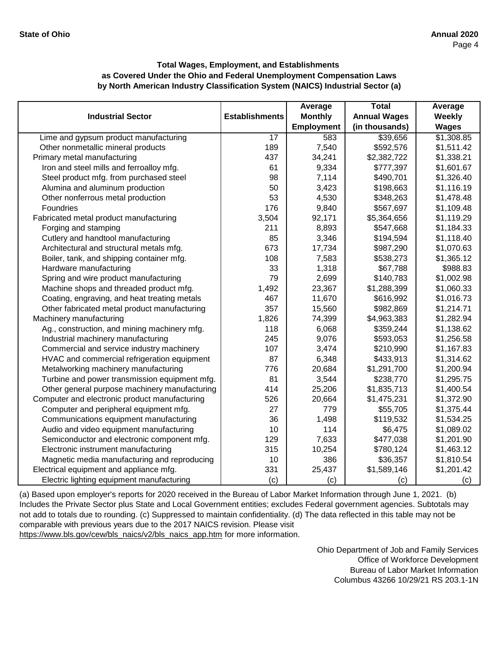|                                               |                       | Average           | <b>Total</b>        | Average      |
|-----------------------------------------------|-----------------------|-------------------|---------------------|--------------|
| <b>Industrial Sector</b>                      | <b>Establishments</b> | <b>Monthly</b>    | <b>Annual Wages</b> | Weekly       |
|                                               |                       | <b>Employment</b> | (in thousands)      | <b>Wages</b> |
| Lime and gypsum product manufacturing         | $\overline{17}$       | 583               | \$39,656            | \$1,308.85   |
| Other nonmetallic mineral products            | 189                   | 7,540             | \$592,576           | \$1,511.42   |
| Primary metal manufacturing                   | 437                   | 34,241            | \$2,382,722         | \$1,338.21   |
| Iron and steel mills and ferroalloy mfg.      | 61                    | 9,334             | \$777,397           | \$1,601.67   |
| Steel product mfg. from purchased steel       | 98                    | 7,114             | \$490,701           | \$1,326.40   |
| Alumina and aluminum production               | 50                    | 3,423             | \$198,663           | \$1,116.19   |
| Other nonferrous metal production             | 53                    | 4,530             | \$348,263           | \$1,478.48   |
| Foundries                                     | 176                   | 9,840             | \$567,697           | \$1,109.48   |
| Fabricated metal product manufacturing        | 3,504                 | 92,171            | \$5,364,656         | \$1,119.29   |
| Forging and stamping                          | 211                   | 8,893             | \$547,668           | \$1,184.33   |
| Cutlery and handtool manufacturing            | 85                    | 3,346             | \$194,594           | \$1,118.40   |
| Architectural and structural metals mfg.      | 673                   | 17,734            | \$987,290           | \$1,070.63   |
| Boiler, tank, and shipping container mfg.     | 108                   | 7,583             | \$538,273           | \$1,365.12   |
| Hardware manufacturing                        | 33                    | 1,318             | \$67,788            | \$988.83     |
| Spring and wire product manufacturing         | 79                    | 2,699             | \$140,783           | \$1,002.98   |
| Machine shops and threaded product mfg.       | 1,492                 | 23,367            | \$1,288,399         | \$1,060.33   |
| Coating, engraving, and heat treating metals  | 467                   | 11,670            | \$616,992           | \$1,016.73   |
| Other fabricated metal product manufacturing  | 357                   | 15,560            | \$982,869           | \$1,214.71   |
| Machinery manufacturing                       | 1,826                 | 74,399            | \$4,963,383         | \$1,282.94   |
| Ag., construction, and mining machinery mfg.  | 118                   | 6,068             | \$359,244           | \$1,138.62   |
| Industrial machinery manufacturing            | 245                   | 9,076             | \$593,053           | \$1,256.58   |
| Commercial and service industry machinery     | 107                   | 3,474             | \$210,990           | \$1,167.83   |
| HVAC and commercial refrigeration equipment   | 87                    | 6,348             | \$433,913           | \$1,314.62   |
| Metalworking machinery manufacturing          | 776                   | 20,684            | \$1,291,700         | \$1,200.94   |
| Turbine and power transmission equipment mfg. | 81                    | 3,544             | \$238,770           | \$1,295.75   |
| Other general purpose machinery manufacturing | 414                   | 25,206            | \$1,835,713         | \$1,400.54   |
| Computer and electronic product manufacturing | 526                   | 20,664            | \$1,475,231         | \$1,372.90   |
| Computer and peripheral equipment mfg.        | 27                    | 779               | \$55,705            | \$1,375.44   |
| Communications equipment manufacturing        | 36                    | 1,498             | \$119,532           | \$1,534.25   |
| Audio and video equipment manufacturing       | 10                    | 114               | \$6,475             | \$1,089.02   |
| Semiconductor and electronic component mfg.   | 129                   | 7,633             | \$477,038           | \$1,201.90   |
| Electronic instrument manufacturing           | 315                   | 10,254            | \$780,124           | \$1,463.12   |
| Magnetic media manufacturing and reproducing  | 10                    | 386               | \$36,357            | \$1,810.54   |
| Electrical equipment and appliance mfg.       | 331                   | 25,437            | \$1,589,146         | \$1,201.42   |
| Electric lighting equipment manufacturing     | (c)                   | (c)               | (c)                 | (c)          |

[\(a\) Based upon employer's reports for 2020 received in t](https://www.bls.gov/cew/bls_naics/v2/bls_naics_app.htm)he Bureau of Labor Market Information through June 1, 2021. (b) [Includes the Private Sector plus State and Local Governm](https://www.bls.gov/cew/bls_naics/v2/bls_naics_app.htm)ent entities; excludes Federal government agencies. Subtotals may [not add to totals due to rounding. \(c\) Suppressed to main](https://www.bls.gov/cew/bls_naics/v2/bls_naics_app.htm)tain confidentiality. (d) The data reflected in this table may not be [comparable with previous years due to the 2017 NAICS](https://www.bls.gov/cew/bls_naics/v2/bls_naics_app.htm) revision. Please visit

[https://www.bls.gov/cew/bls\\_naics/v2/bls\\_naics\\_app.htm](https://www.bls.gov/cew/bls_naics/v2/bls_naics_app.htm) for more information.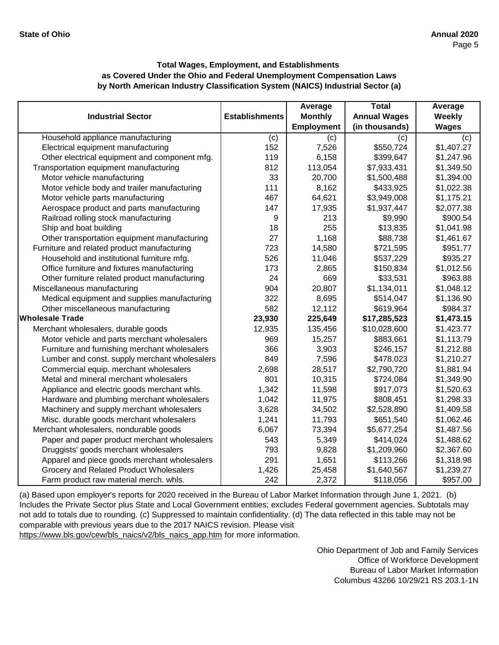|                                               |                       | Average           | <b>Total</b>        | Average      |
|-----------------------------------------------|-----------------------|-------------------|---------------------|--------------|
| <b>Industrial Sector</b>                      | <b>Establishments</b> | <b>Monthly</b>    | <b>Annual Wages</b> | Weekly       |
|                                               |                       | <b>Employment</b> | (in thousands)      | <b>Wages</b> |
| Household appliance manufacturing             | (c)                   | (c)               | (c)                 | (c)          |
| Electrical equipment manufacturing            | 152                   | 7,526             | \$550,724           | \$1,407.27   |
| Other electrical equipment and component mfg. | 119                   | 6,158             | \$399,647           | \$1,247.96   |
| Transportation equipment manufacturing        | 812                   | 113,054           | \$7,933,431         | \$1,349.50   |
| Motor vehicle manufacturing                   | 33                    | 20,700            | \$1,500,488         | \$1,394.00   |
| Motor vehicle body and trailer manufacturing  | 111                   | 8,162             | \$433,925           | \$1,022.38   |
| Motor vehicle parts manufacturing             | 467                   | 64,621            | \$3,949,008         | \$1,175.21   |
| Aerospace product and parts manufacturing     | 147                   | 17,935            | \$1,937,447         | \$2,077.38   |
| Railroad rolling stock manufacturing          | 9                     | 213               | \$9,990             | \$900.54     |
| Ship and boat building                        | 18                    | 255               | \$13,835            | \$1,041.98   |
| Other transportation equipment manufacturing  | 27                    | 1,168             | \$88,738            | \$1,461.67   |
| Furniture and related product manufacturing   | 723                   | 14,580            | \$721,595           | \$951.77     |
| Household and institutional furniture mfg.    | 526                   | 11,046            | \$537,229           | \$935.27     |
| Office furniture and fixtures manufacturing   | 173                   | 2,865             | \$150,834           | \$1,012.56   |
| Other furniture related product manufacturing | 24                    | 669               | \$33,531            | \$963.88     |
| Miscellaneous manufacturing                   | 904                   | 20,807            | \$1,134,011         | \$1,048.12   |
| Medical equipment and supplies manufacturing  | 322                   | 8,695             | \$514,047           | \$1,136.90   |
| Other miscellaneous manufacturing             | 582                   | 12,112            | \$619,964           | \$984.37     |
| <b>Wholesale Trade</b>                        | 23,930                | 225,649           | \$17,285,523        | \$1,473.15   |
| Merchant wholesalers, durable goods           | 12,935                | 135,456           | \$10,028,600        | \$1,423.77   |
| Motor vehicle and parts merchant wholesalers  | 969                   | 15,257            | \$883,661           | \$1,113.79   |
| Furniture and furnishing merchant wholesalers | 366                   | 3,903             | \$246,157           | \$1,212.88   |
| Lumber and const. supply merchant wholesalers | 849                   | 7,596             | \$478,023           | \$1,210.27   |
| Commercial equip. merchant wholesalers        | 2,698                 | 28,517            | \$2,790,720         | \$1,881.94   |
| Metal and mineral merchant wholesalers        | 801                   | 10,315            | \$724,084           | \$1,349.90   |
| Appliance and electric goods merchant whls.   | 1,342                 | 11,598            | \$917,073           | \$1,520.63   |
| Hardware and plumbing merchant wholesalers    | 1,042                 | 11,975            | \$808,451           | \$1,298.33   |
| Machinery and supply merchant wholesalers     | 3,628                 | 34,502            | \$2,528,890         | \$1,409.58   |
| Misc. durable goods merchant wholesalers      | 1,241                 | 11,793            | \$651,540           | \$1,062.46   |
| Merchant wholesalers, nondurable goods        | 6,067                 | 73,394            | \$5,677,254         | \$1,487.56   |
| Paper and paper product merchant wholesalers  | 543                   | 5,349             | \$414,024           | \$1,488.62   |
| Druggists' goods merchant wholesalers         | 793                   | 9,828             | \$1,209,960         | \$2,367.60   |
| Apparel and piece goods merchant wholesalers  | 291                   | 1,651             | \$113,266           | \$1,318.98   |
| Grocery and Related Product Wholesalers       | 1,426                 | 25,458            | \$1,640,567         | \$1,239.27   |
| Farm product raw material merch. whls.        | 242                   | 2,372             | \$118,056           | \$957.00     |

[\(a\) Based upon employer's reports for 2020 received in t](https://www.bls.gov/cew/bls_naics/v2/bls_naics_app.htm)he Bureau of Labor Market Information through June 1, 2021. (b) [Includes the Private Sector plus State and Local Governm](https://www.bls.gov/cew/bls_naics/v2/bls_naics_app.htm)ent entities; excludes Federal government agencies. Subtotals may [not add to totals due to rounding. \(c\) Suppressed to main](https://www.bls.gov/cew/bls_naics/v2/bls_naics_app.htm)tain confidentiality. (d) The data reflected in this table may not be [comparable with previous years due to the 2017 NAICS](https://www.bls.gov/cew/bls_naics/v2/bls_naics_app.htm) revision. Please visit [https://www.bls.gov/cew/bls\\_naics/v2/bls\\_naics\\_app.htm](https://www.bls.gov/cew/bls_naics/v2/bls_naics_app.htm) for more information.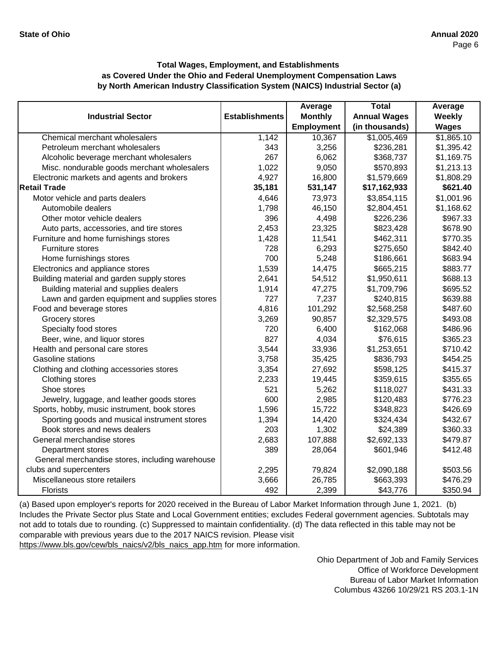|                                                 |                       | Average           | <b>Total</b>        | Average      |
|-------------------------------------------------|-----------------------|-------------------|---------------------|--------------|
| <b>Industrial Sector</b>                        | <b>Establishments</b> | <b>Monthly</b>    | <b>Annual Wages</b> | Weekly       |
|                                                 |                       | <b>Employment</b> | (in thousands)      | <b>Wages</b> |
| Chemical merchant wholesalers                   | 1,142                 | 10,367            | \$1,005,469         | \$1,865.10   |
| Petroleum merchant wholesalers                  | 343                   | 3,256             | \$236,281           | \$1,395.42   |
| Alcoholic beverage merchant wholesalers         | 267                   | 6,062             | \$368,737           | \$1,169.75   |
| Misc. nondurable goods merchant wholesalers     | 1,022                 | 9,050             | \$570,893           | \$1,213.13   |
| Electronic markets and agents and brokers       | 4,927                 | 16,800            | \$1,579,669         | \$1,808.29   |
| <b>Retail Trade</b>                             | 35,181                | 531,147           | \$17,162,933        | \$621.40     |
| Motor vehicle and parts dealers                 | 4,646                 | 73,973            | \$3,854,115         | \$1,001.96   |
| Automobile dealers                              | 1,798                 | 46,150            | \$2,804,451         | \$1,168.62   |
| Other motor vehicle dealers                     | 396                   | 4,498             | \$226,236           | \$967.33     |
| Auto parts, accessories, and tire stores        | 2,453                 | 23,325            | \$823,428           | \$678.90     |
| Furniture and home furnishings stores           | 1,428                 | 11,541            | \$462,311           | \$770.35     |
| Furniture stores                                | 728                   | 6,293             | \$275,650           | \$842.40     |
| Home furnishings stores                         | 700                   | 5,248             | \$186,661           | \$683.94     |
| Electronics and appliance stores                | 1,539                 | 14,475            | \$665,215           | \$883.77     |
| Building material and garden supply stores      | 2,641                 | 54,512            | \$1,950,611         | \$688.13     |
| Building material and supplies dealers          | 1,914                 | 47,275            | \$1,709,796         | \$695.52     |
| Lawn and garden equipment and supplies stores   | 727                   | 7,237             | \$240,815           | \$639.88     |
| Food and beverage stores                        | 4,816                 | 101,292           | \$2,568,258         | \$487.60     |
| Grocery stores                                  | 3,269                 | 90,857            | \$2,329,575         | \$493.08     |
| Specialty food stores                           | 720                   | 6,400             | \$162,068           | \$486.96     |
| Beer, wine, and liquor stores                   | 827                   | 4,034             | \$76,615            | \$365.23     |
| Health and personal care stores                 | 3,544                 | 33,936            | \$1,253,651         | \$710.42     |
| Gasoline stations                               | 3,758                 | 35,425            | \$836,793           | \$454.25     |
| Clothing and clothing accessories stores        | 3,354                 | 27,692            | \$598,125           | \$415.37     |
| Clothing stores                                 | 2,233                 | 19,445            | \$359,615           | \$355.65     |
| Shoe stores                                     | 521                   | 5,262             | \$118,027           | \$431.33     |
| Jewelry, luggage, and leather goods stores      | 600                   | 2,985             | \$120,483           | \$776.23     |
| Sports, hobby, music instrument, book stores    | 1,596                 | 15,722            | \$348,823           | \$426.69     |
| Sporting goods and musical instrument stores    | 1,394                 | 14,420            | \$324,434           | \$432.67     |
| Book stores and news dealers                    | 203                   | 1,302             | \$24,389            | \$360.33     |
| General merchandise stores                      | 2,683                 | 107,888           | \$2,692,133         | \$479.87     |
| Department stores                               | 389                   | 28,064            | \$601,946           | \$412.48     |
| General merchandise stores, including warehouse |                       |                   |                     |              |
| clubs and supercenters                          | 2,295                 | 79,824            | \$2,090,188         | \$503.56     |
| Miscellaneous store retailers                   | 3,666                 | 26,785            | \$663,393           | \$476.29     |
| <b>Florists</b>                                 | 492                   | 2,399             | \$43,776            | \$350.94     |

[\(a\) Based upon employer's reports for 2020 received in t](https://www.bls.gov/cew/bls_naics/v2/bls_naics_app.htm)he Bureau of Labor Market Information through June 1, 2021. (b) [Includes the Private Sector plus State and Local Governm](https://www.bls.gov/cew/bls_naics/v2/bls_naics_app.htm)ent entities; excludes Federal government agencies. Subtotals may [not add to totals due to rounding. \(c\) Suppressed to main](https://www.bls.gov/cew/bls_naics/v2/bls_naics_app.htm)tain confidentiality. (d) The data reflected in this table may not be [comparable with previous years due to the 2017 NAICS](https://www.bls.gov/cew/bls_naics/v2/bls_naics_app.htm) revision. Please visit [https://www.bls.gov/cew/bls\\_naics/v2/bls\\_naics\\_app.htm](https://www.bls.gov/cew/bls_naics/v2/bls_naics_app.htm) for more information.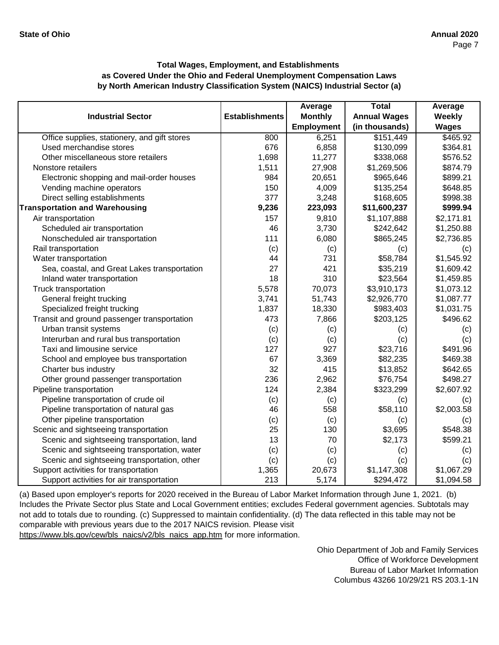|                                              |                       | Average           | <b>Total</b>        | Average      |
|----------------------------------------------|-----------------------|-------------------|---------------------|--------------|
| <b>Industrial Sector</b>                     | <b>Establishments</b> | <b>Monthly</b>    | <b>Annual Wages</b> | Weekly       |
|                                              |                       | <b>Employment</b> | (in thousands)      | <b>Wages</b> |
| Office supplies, stationery, and gift stores | 800                   | 6,251             | \$151,449           | \$465.92     |
| Used merchandise stores                      | 676                   | 6,858             | \$130,099           | \$364.81     |
| Other miscellaneous store retailers          | 1,698                 | 11,277            | \$338,068           | \$576.52     |
| Nonstore retailers                           | 1,511                 | 27,908            | \$1,269,506         | \$874.79     |
| Electronic shopping and mail-order houses    | 984                   | 20,651            | \$965,646           | \$899.21     |
| Vending machine operators                    | 150                   | 4,009             | \$135,254           | \$648.85     |
| Direct selling establishments                | 377                   | 3,248             | \$168,605           | \$998.38     |
| <b>Transportation and Warehousing</b>        | 9,236                 | 223,093           | \$11,600,237        | \$999.94     |
| Air transportation                           | 157                   | 9,810             | \$1,107,888         | \$2,171.81   |
| Scheduled air transportation                 | 46                    | 3,730             | \$242,642           | \$1,250.88   |
| Nonscheduled air transportation              | 111                   | 6,080             | \$865,245           | \$2,736.85   |
| Rail transportation                          | (c)                   | (c)               | (c)                 | (c)          |
| Water transportation                         | 44                    | 731               | \$58,784            | \$1,545.92   |
| Sea, coastal, and Great Lakes transportation | 27                    | 421               | \$35,219            | \$1,609.42   |
| Inland water transportation                  | 18                    | 310               | \$23,564            | \$1,459.85   |
| Truck transportation                         | 5,578                 | 70,073            | \$3,910,173         | \$1,073.12   |
| General freight trucking                     | 3,741                 | 51,743            | \$2,926,770         | \$1,087.77   |
| Specialized freight trucking                 | 1,837                 | 18,330            | \$983,403           | \$1,031.75   |
| Transit and ground passenger transportation  | 473                   | 7,866             | \$203,125           | \$496.62     |
| Urban transit systems                        | (c)                   | (c)               | (c)                 | (c)          |
| Interurban and rural bus transportation      | (c)                   | (c)               | (c)                 | (c)          |
| Taxi and limousine service                   | 127                   | 927               | \$23,716            | \$491.96     |
| School and employee bus transportation       | 67                    | 3,369             | \$82,235            | \$469.38     |
| Charter bus industry                         | 32                    | 415               | \$13,852            | \$642.65     |
| Other ground passenger transportation        | 236                   | 2,962             | \$76,754            | \$498.27     |
| Pipeline transportation                      | 124                   | 2,384             | \$323,299           | \$2,607.92   |
| Pipeline transportation of crude oil         | (c)                   | (c)               | (c)                 | (c)          |
| Pipeline transportation of natural gas       | 46                    | 558               | \$58,110            | \$2,003.58   |
| Other pipeline transportation                | (c)                   | (c)               | (c)                 | (c)          |
| Scenic and sightseeing transportation        | 25                    | 130               | \$3,695             | \$548.38     |
| Scenic and sightseeing transportation, land  | 13                    | 70                | \$2,173             | \$599.21     |
| Scenic and sightseeing transportation, water | (c)                   | (c)               | (c)                 | (c)          |
| Scenic and sightseeing transportation, other | (c)                   | (c)               | (c)                 | (c)          |
| Support activities for transportation        | 1,365                 | 20,673            | \$1,147,308         | \$1,067.29   |
| Support activities for air transportation    | 213                   | 5,174             | \$294,472           | \$1,094.58   |

[\(a\) Based upon employer's reports for 2020 received in t](https://www.bls.gov/cew/bls_naics/v2/bls_naics_app.htm)he Bureau of Labor Market Information through June 1, 2021. (b) [Includes the Private Sector plus State and Local Governm](https://www.bls.gov/cew/bls_naics/v2/bls_naics_app.htm)ent entities; excludes Federal government agencies. Subtotals may [not add to totals due to rounding. \(c\) Suppressed to main](https://www.bls.gov/cew/bls_naics/v2/bls_naics_app.htm)tain confidentiality. (d) The data reflected in this table may not be [comparable with previous years due to the 2017 NAICS](https://www.bls.gov/cew/bls_naics/v2/bls_naics_app.htm) revision. Please visit [https://www.bls.gov/cew/bls\\_naics/v2/bls\\_naics\\_app.htm](https://www.bls.gov/cew/bls_naics/v2/bls_naics_app.htm) for more information.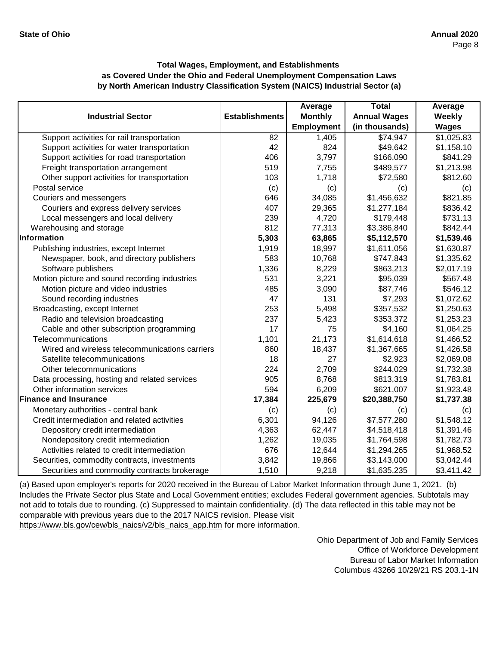|                                                |                       | Average           | <b>Total</b>        | Average      |
|------------------------------------------------|-----------------------|-------------------|---------------------|--------------|
| <b>Industrial Sector</b>                       | <b>Establishments</b> | <b>Monthly</b>    | <b>Annual Wages</b> | Weekly       |
|                                                |                       | <b>Employment</b> | (in thousands)      | <b>Wages</b> |
| Support activities for rail transportation     | $\overline{82}$       | 1,405             | \$74,947            | \$1,025.83   |
| Support activities for water transportation    | 42                    | 824               | \$49,642            | \$1,158.10   |
| Support activities for road transportation     | 406                   | 3,797             | \$166,090           | \$841.29     |
| Freight transportation arrangement             | 519                   | 7,755             | \$489,577           | \$1,213.98   |
| Other support activities for transportation    | 103                   | 1,718             | \$72,580            | \$812.60     |
| Postal service                                 | (c)                   | (c)               | (c)                 | (c)          |
| Couriers and messengers                        | 646                   | 34,085            | \$1,456,632         | \$821.85     |
| Couriers and express delivery services         | 407                   | 29,365            | \$1,277,184         | \$836.42     |
| Local messengers and local delivery            | 239                   | 4,720             | \$179,448           | \$731.13     |
| Warehousing and storage                        | 812                   | 77,313            | \$3,386,840         | \$842.44     |
| Information                                    | 5,303                 | 63,865            | \$5,112,570         | \$1,539.46   |
| Publishing industries, except Internet         | 1,919                 | 18,997            | \$1,611,056         | \$1,630.87   |
| Newspaper, book, and directory publishers      | 583                   | 10,768            | \$747,843           | \$1,335.62   |
| Software publishers                            | 1,336                 | 8,229             | \$863,213           | \$2,017.19   |
| Motion picture and sound recording industries  | 531                   | 3,221             | \$95,039            | \$567.48     |
| Motion picture and video industries            | 485                   | 3,090             | \$87,746            | \$546.12     |
| Sound recording industries                     | 47                    | 131               | \$7,293             | \$1,072.62   |
| Broadcasting, except Internet                  | 253                   | 5,498             | \$357,532           | \$1,250.63   |
| Radio and television broadcasting              | 237                   | 5,423             | \$353,372           | \$1,253.23   |
| Cable and other subscription programming       | 17                    | 75                | \$4,160             | \$1,064.25   |
| Telecommunications                             | 1,101                 | 21,173            | \$1,614,618         | \$1,466.52   |
| Wired and wireless telecommunications carriers | 860                   | 18,437            | \$1,367,665         | \$1,426.58   |
| Satellite telecommunications                   | 18                    | 27                | \$2,923             | \$2,069.08   |
| Other telecommunications                       | 224                   | 2,709             | \$244,029           | \$1,732.38   |
| Data processing, hosting and related services  | 905                   | 8,768             | \$813,319           | \$1,783.81   |
| Other information services                     | 594                   | 6,209             | \$621,007           | \$1,923.48   |
| <b>Finance and Insurance</b>                   | 17,384                | 225,679           | \$20,388,750        | \$1,737.38   |
| Monetary authorities - central bank            | (c)                   | (c)               | (c)                 | (c)          |
| Credit intermediation and related activities   | 6,301                 | 94,126            | \$7,577,280         | \$1,548.12   |
| Depository credit intermediation               | 4,363                 | 62,447            | \$4,518,418         | \$1,391.46   |
| Nondepository credit intermediation            | 1,262                 | 19,035            | \$1,764,598         | \$1,782.73   |
| Activities related to credit intermediation    | 676                   | 12,644            | \$1,294,265         | \$1,968.52   |
| Securities, commodity contracts, investments   | 3,842                 | 19,866            | \$3,143,000         | \$3,042.44   |
| Securities and commodity contracts brokerage   | 1,510                 | 9,218             | \$1,635,235         | \$3,411.42   |

[\(a\) Based upon employer's reports for 2020 received in t](https://www.bls.gov/cew/bls_naics/v2/bls_naics_app.htm)he Bureau of Labor Market Information through June 1, 2021. (b) [Includes the Private Sector plus State and Local Governm](https://www.bls.gov/cew/bls_naics/v2/bls_naics_app.htm)ent entities; excludes Federal government agencies. Subtotals may [not add to totals due to rounding. \(c\) Suppressed to main](https://www.bls.gov/cew/bls_naics/v2/bls_naics_app.htm)tain confidentiality. (d) The data reflected in this table may not be [comparable with previous years due to the 2017 NAICS](https://www.bls.gov/cew/bls_naics/v2/bls_naics_app.htm) revision. Please visit [https://www.bls.gov/cew/bls\\_naics/v2/bls\\_naics\\_app.htm](https://www.bls.gov/cew/bls_naics/v2/bls_naics_app.htm) for more information.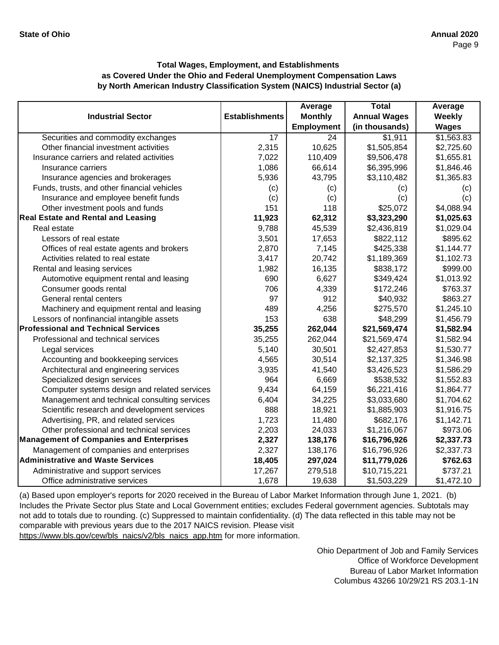|                                                |                       | Average           | <b>Total</b>        | Average      |
|------------------------------------------------|-----------------------|-------------------|---------------------|--------------|
| <b>Industrial Sector</b>                       | <b>Establishments</b> | <b>Monthly</b>    | <b>Annual Wages</b> | Weekly       |
|                                                |                       | <b>Employment</b> | (in thousands)      | <b>Wages</b> |
| Securities and commodity exchanges             | $\overline{17}$       | 24                | \$1,911             | \$1,563.83   |
| Other financial investment activities          | 2,315                 | 10,625            | \$1,505,854         | \$2,725.60   |
| Insurance carriers and related activities      | 7,022                 | 110,409           | \$9,506,478         | \$1,655.81   |
| Insurance carriers                             | 1,086                 | 66,614            | \$6,395,996         | \$1,846.46   |
| Insurance agencies and brokerages              | 5,936                 | 43,795            | \$3,110,482         | \$1,365.83   |
| Funds, trusts, and other financial vehicles    | (c)                   | (c)               | (c)                 | (c)          |
| Insurance and employee benefit funds           | (c)                   | (c)               | (c)                 | (c)          |
| Other investment pools and funds               | 151                   | 118               | \$25,072            | \$4,088.94   |
| <b>Real Estate and Rental and Leasing</b>      | 11,923                | 62,312            | \$3,323,290         | \$1,025.63   |
| Real estate                                    | 9,788                 | 45,539            | \$2,436,819         | \$1,029.04   |
| Lessors of real estate                         | 3,501                 | 17,653            | \$822,112           | \$895.62     |
| Offices of real estate agents and brokers      | 2,870                 | 7,145             | \$425,338           | \$1,144.77   |
| Activities related to real estate              | 3,417                 | 20,742            | \$1,189,369         | \$1,102.73   |
| Rental and leasing services                    | 1,982                 | 16,135            | \$838,172           | \$999.00     |
| Automotive equipment rental and leasing        | 690                   | 6,627             | \$349,424           | \$1,013.92   |
| Consumer goods rental                          | 706                   | 4,339             | \$172,246           | \$763.37     |
| General rental centers                         | 97                    | 912               | \$40,932            | \$863.27     |
| Machinery and equipment rental and leasing     | 489                   | 4,256             | \$275,570           | \$1,245.10   |
| Lessors of nonfinancial intangible assets      | 153                   | 638               | \$48,299            | \$1,456.79   |
| <b>Professional and Technical Services</b>     | 35,255                | 262,044           | \$21,569,474        | \$1,582.94   |
| Professional and technical services            | 35,255                | 262,044           | \$21,569,474        | \$1,582.94   |
| Legal services                                 | 5,140                 | 30,501            | \$2,427,853         | \$1,530.77   |
| Accounting and bookkeeping services            | 4,565                 | 30,514            | \$2,137,325         | \$1,346.98   |
| Architectural and engineering services         | 3,935                 | 41,540            | \$3,426,523         | \$1,586.29   |
| Specialized design services                    | 964                   | 6,669             | \$538,532           | \$1,552.83   |
| Computer systems design and related services   | 9,434                 | 64,159            | \$6,221,416         | \$1,864.77   |
| Management and technical consulting services   | 6,404                 | 34,225            | \$3,033,680         | \$1,704.62   |
| Scientific research and development services   | 888                   | 18,921            | \$1,885,903         | \$1,916.75   |
| Advertising, PR, and related services          | 1,723                 | 11,480            | \$682,176           | \$1,142.71   |
| Other professional and technical services      | 2,203                 | 24,033            | \$1,216,067         | \$973.06     |
| <b>Management of Companies and Enterprises</b> | 2,327                 | 138,176           | \$16,796,926        | \$2,337.73   |
| Management of companies and enterprises        | 2,327                 | 138,176           | \$16,796,926        | \$2,337.73   |
| <b>Administrative and Waste Services</b>       | 18,405                | 297,024           | \$11,779,026        | \$762.63     |
| Administrative and support services            | 17,267                | 279,518           | \$10,715,221        | \$737.21     |
| Office administrative services                 | 1,678                 | 19,638            | \$1,503,229         | \$1,472.10   |

[\(a\) Based upon employer's reports for 2020 received in t](https://www.bls.gov/cew/bls_naics/v2/bls_naics_app.htm)he Bureau of Labor Market Information through June 1, 2021. (b) [Includes the Private Sector plus State and Local Governm](https://www.bls.gov/cew/bls_naics/v2/bls_naics_app.htm)ent entities; excludes Federal government agencies. Subtotals may [not add to totals due to rounding. \(c\) Suppressed to main](https://www.bls.gov/cew/bls_naics/v2/bls_naics_app.htm)tain confidentiality. (d) The data reflected in this table may not be [comparable with previous years due to the 2017 NAICS](https://www.bls.gov/cew/bls_naics/v2/bls_naics_app.htm) revision. Please visit [https://www.bls.gov/cew/bls\\_naics/v2/bls\\_naics\\_app.htm](https://www.bls.gov/cew/bls_naics/v2/bls_naics_app.htm) for more information.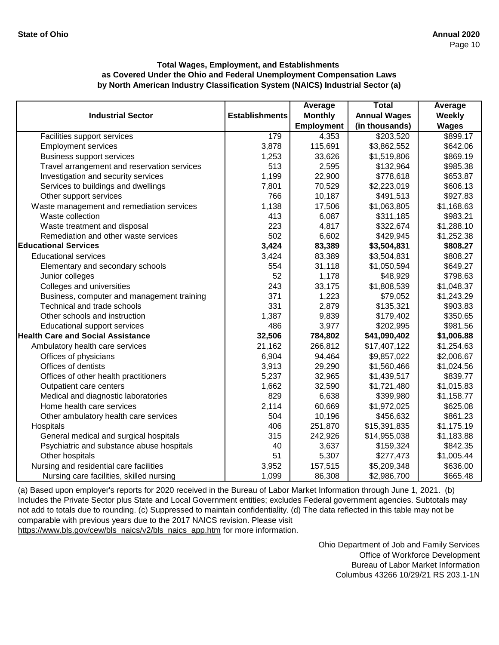|                                             |                       | Average           | <b>Total</b>        | Average      |
|---------------------------------------------|-----------------------|-------------------|---------------------|--------------|
| <b>Industrial Sector</b>                    | <b>Establishments</b> | <b>Monthly</b>    | <b>Annual Wages</b> | Weekly       |
|                                             |                       | <b>Employment</b> | (in thousands)      | <b>Wages</b> |
| Facilities support services                 | 179                   | 4,353             | \$203,520           | \$899.17     |
| <b>Employment services</b>                  | 3,878                 | 115,691           | \$3,862,552         | \$642.06     |
| <b>Business support services</b>            | 1,253                 | 33,626            | \$1,519,806         | \$869.19     |
| Travel arrangement and reservation services | 513                   | 2,595             | \$132,964           | \$985.38     |
| Investigation and security services         | 1,199                 | 22,900            | \$778,618           | \$653.87     |
| Services to buildings and dwellings         | 7,801                 | 70,529            | \$2,223,019         | \$606.13     |
| Other support services                      | 766                   | 10,187            | \$491,513           | \$927.83     |
| Waste management and remediation services   | 1,138                 | 17,506            | \$1,063,805         | \$1,168.63   |
| Waste collection                            | 413                   | 6,087             | \$311,185           | \$983.21     |
| Waste treatment and disposal                | 223                   | 4,817             | \$322,674           | \$1,288.10   |
| Remediation and other waste services        | 502                   | 6,602             | \$429,945           | \$1,252.38   |
| <b>Educational Services</b>                 | 3,424                 | 83,389            | \$3,504,831         | \$808.27     |
| <b>Educational services</b>                 | 3,424                 | 83,389            | \$3,504,831         | \$808.27     |
| Elementary and secondary schools            | 554                   | 31,118            | \$1,050,594         | \$649.27     |
| Junior colleges                             | 52                    | 1,178             | \$48,929            | \$798.63     |
| Colleges and universities                   | 243                   | 33,175            | \$1,808,539         | \$1,048.37   |
| Business, computer and management training  | 371                   | 1,223             | \$79,052            | \$1,243.29   |
| Technical and trade schools                 | 331                   | 2,879             | \$135,321           | \$903.83     |
| Other schools and instruction               | 1,387                 | 9,839             | \$179,402           | \$350.65     |
| <b>Educational support services</b>         | 486                   | 3,977             | \$202,995           | \$981.56     |
| <b>Health Care and Social Assistance</b>    | 32,506                | 784,802           | \$41,090,402        | \$1,006.88   |
| Ambulatory health care services             | 21,162                | 266,812           | \$17,407,122        | \$1,254.63   |
| Offices of physicians                       | 6,904                 | 94,464            | \$9,857,022         | \$2,006.67   |
| Offices of dentists                         | 3,913                 | 29,290            | \$1,560,466         | \$1,024.56   |
| Offices of other health practitioners       | 5,237                 | 32,965            | \$1,439,517         | \$839.77     |
| Outpatient care centers                     | 1,662                 | 32,590            | \$1,721,480         | \$1,015.83   |
| Medical and diagnostic laboratories         | 829                   | 6,638             | \$399,980           | \$1,158.77   |
| Home health care services                   | 2,114                 | 60,669            | \$1,972,025         | \$625.08     |
| Other ambulatory health care services       | 504                   | 10,196            | \$456,632           | \$861.23     |
| Hospitals                                   | 406                   | 251,870           | \$15,391,835        | \$1,175.19   |
| General medical and surgical hospitals      | 315                   | 242,926           | \$14,955,038        | \$1,183.88   |
| Psychiatric and substance abuse hospitals   | 40                    | 3,637             | \$159,324           | \$842.35     |
| Other hospitals                             | 51                    | 5,307             | \$277,473           | \$1,005.44   |
| Nursing and residential care facilities     | 3,952                 | 157,515           | \$5,209,348         | \$636.00     |
| Nursing care facilities, skilled nursing    | 1,099                 | 86,308            | \$2,986,700         | \$665.48     |

[\(a\) Based upon employer's reports for 2020 received in the](https://www.bls.gov/cew/bls_naics/v2/bls_naics_app.htm) Bureau of Labor Market Information through June 1, 2021. (b) [Includes the Private Sector plus State and Local Governm](https://www.bls.gov/cew/bls_naics/v2/bls_naics_app.htm)ent entities; excludes Federal government agencies. Subtotals may [not add to totals due to rounding. \(c\) Suppressed to mainta](https://www.bls.gov/cew/bls_naics/v2/bls_naics_app.htm)in confidentiality. (d) The data reflected in this table may not be [comparable with previous years due to the 2017 NAICS re](https://www.bls.gov/cew/bls_naics/v2/bls_naics_app.htm)vision. Please visit [https://www.bls.gov/cew/bls\\_naics/v2/bls\\_naics\\_app.htm f](https://www.bls.gov/cew/bls_naics/v2/bls_naics_app.htm)or more information.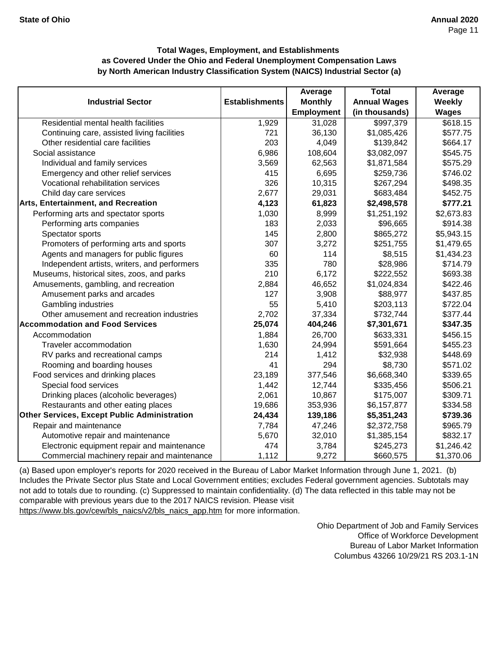|                                              |                       | Average           | <b>Total</b>        | Average       |
|----------------------------------------------|-----------------------|-------------------|---------------------|---------------|
| <b>Industrial Sector</b>                     | <b>Establishments</b> | <b>Monthly</b>    | <b>Annual Wages</b> | <b>Weekly</b> |
|                                              |                       | <b>Employment</b> | (in thousands)      | <b>Wages</b>  |
| Residential mental health facilities         | 1,929                 | 31,028            | \$997,379           | \$618.15      |
| Continuing care, assisted living facilities  | 721                   | 36,130            | \$1,085,426         | \$577.75      |
| Other residential care facilities            | 203                   | 4,049             | \$139,842           | \$664.17      |
| Social assistance                            | 6,986                 | 108,604           | \$3,082,097         | \$545.75      |
| Individual and family services               | 3,569                 | 62,563            | \$1,871,584         | \$575.29      |
| Emergency and other relief services          | 415                   | 6,695             | \$259,736           | \$746.02      |
| Vocational rehabilitation services           | 326                   | 10,315            | \$267,294           | \$498.35      |
| Child day care services                      | 2,677                 | 29,031            | \$683,484           | \$452.75      |
| <b>Arts, Entertainment, and Recreation</b>   | 4,123                 | 61,823            | \$2,498,578         | \$777.21      |
| Performing arts and spectator sports         | 1,030                 | 8,999             | \$1,251,192         | \$2,673.83    |
| Performing arts companies                    | 183                   | 2,033             | \$96,665            | \$914.38      |
| Spectator sports                             | 145                   | 2,800             | \$865,272           | \$5,943.15    |
| Promoters of performing arts and sports      | 307                   | 3,272             | \$251,755           | \$1,479.65    |
| Agents and managers for public figures       | 60                    | 114               | \$8,515             | \$1,434.23    |
| Independent artists, writers, and performers | 335                   | 780               | \$28,986            | \$714.79      |
| Museums, historical sites, zoos, and parks   | 210                   | 6,172             | \$222,552           | \$693.38      |
| Amusements, gambling, and recreation         | 2,884                 | 46,652            | \$1,024,834         | \$422.46      |
| Amusement parks and arcades                  | 127                   | 3,908             | \$88,977            | \$437.85      |
| Gambling industries                          | 55                    | 5,410             | \$203,113           | \$722.04      |
| Other amusement and recreation industries    | 2,702                 | 37,334            | \$732,744           | \$377.44      |
| Accommodation and Food Services              | 25,074                | 404,246           | \$7,301,671         | \$347.35      |
| Accommodation                                | 1,884                 | 26,700            | \$633,331           | \$456.15      |
| Traveler accommodation                       | 1,630                 | 24,994            | \$591,664           | \$455.23      |
| RV parks and recreational camps              | 214                   | 1,412             | \$32,938            | \$448.69      |
| Rooming and boarding houses                  | 41                    | 294               | \$8,730             | \$571.02      |
| Food services and drinking places            | 23,189                | 377,546           | \$6,668,340         | \$339.65      |
| Special food services                        | 1,442                 | 12,744            | \$335,456           | \$506.21      |
| Drinking places (alcoholic beverages)        | 2,061                 | 10,867            | \$175,007           | \$309.71      |
| Restaurants and other eating places          | 19,686                | 353,936           | \$6,157,877         | \$334.58      |
| Other Services, Except Public Administration | 24,434                | 139,186           | \$5,351,243         | \$739.36      |
| Repair and maintenance                       | 7,784                 | 47,246            | \$2,372,758         | \$965.79      |
| Automotive repair and maintenance            | 5,670                 | 32,010            | \$1,385,154         | \$832.17      |
| Electronic equipment repair and maintenance  | 474                   | 3,784             | \$245,273           | \$1,246.42    |
| Commercial machinery repair and maintenance  | 1,112                 | 9,272             | \$660,575           | \$1,370.06    |

[\(a\) Based upon employer's reports for 2020 received in t](https://www.bls.gov/cew/bls_naics/v2/bls_naics_app.htm)he Bureau of Labor Market Information through June 1, 2021. (b) [Includes the Private Sector plus State and Local Governm](https://www.bls.gov/cew/bls_naics/v2/bls_naics_app.htm)ent entities; excludes Federal government agencies. Subtotals may [not add to totals due to rounding. \(c\) Suppressed to main](https://www.bls.gov/cew/bls_naics/v2/bls_naics_app.htm)tain confidentiality. (d) The data reflected in this table may not be [comparable with previous years due to the 2017 NAICS](https://www.bls.gov/cew/bls_naics/v2/bls_naics_app.htm) revision. Please visit [https://www.bls.gov/cew/bls\\_naics/v2/bls\\_naics\\_app.htm](https://www.bls.gov/cew/bls_naics/v2/bls_naics_app.htm) for more information.